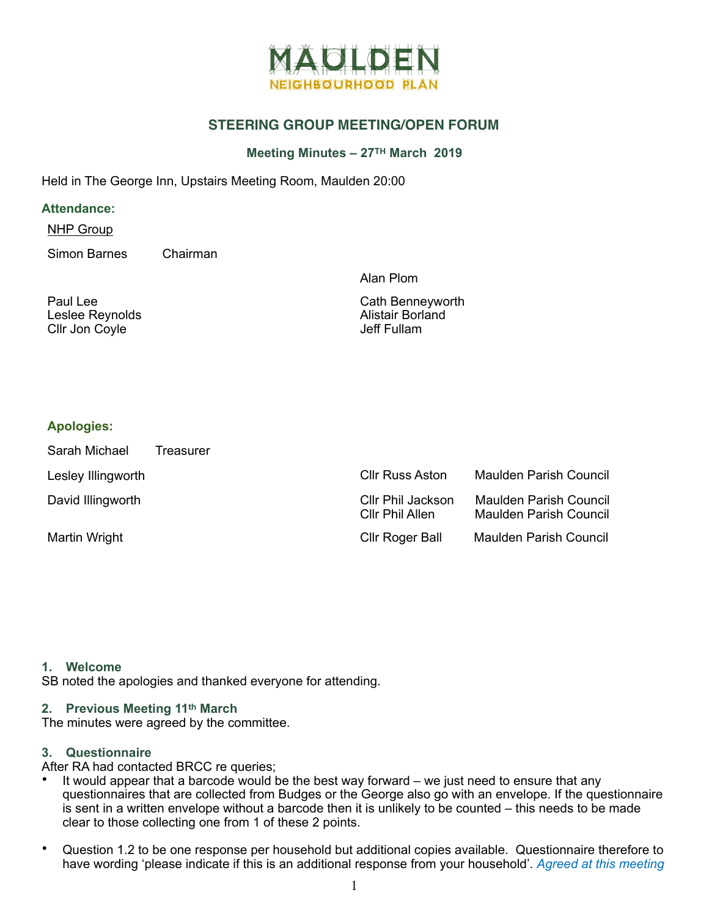

# **STEERING GROUP MEETING/OPEN FORUM**

## **Meeting Minutes – 27TH March 2019**

Held in The George Inn, Upstairs Meeting Room, Maulden 20:00

#### **Attendance:**

NHP Group

Simon Barnes Chairman

Alan Plom

| Paul Lee        |  |
|-----------------|--|
| Leslee Reynolds |  |
| Cllr Jon Coyle  |  |

Cath Benneyworth Alistair Borland Jeff Fullam

## **Apologies:**

| Sarah Michael      | Treasurer |                                      |                                                         |
|--------------------|-----------|--------------------------------------|---------------------------------------------------------|
| Lesley Illingworth |           | <b>Cllr Russ Aston</b>               | Maulden Parish Council                                  |
| David Illingworth  |           | Cllr Phil Jackson<br>Cllr Phil Allen | <b>Maulden Parish Council</b><br>Maulden Parish Council |
| Martin Wright      |           | <b>Cllr Roger Ball</b>               | <b>Maulden Parish Council</b>                           |

#### **1. Welcome**

SB noted the apologies and thanked everyone for attending.

## **2. Previous Meeting 11th March**

The minutes were agreed by the committee.

## **3. Questionnaire**

After RA had contacted BRCC re queries;

- It would appear that a barcode would be the best way forward  $-$  we just need to ensure that any questionnaires that are collected from Budges or the George also go with an envelope. If the questionnaire is sent in a written envelope without a barcode then it is unlikely to be counted – this needs to be made clear to those collecting one from 1 of these 2 points.
- Question 1.2 to be one response per household but additional copies available. Questionnaire therefore to have wording 'please indicate if this is an additional response from your household'. *Agreed at this meeting*